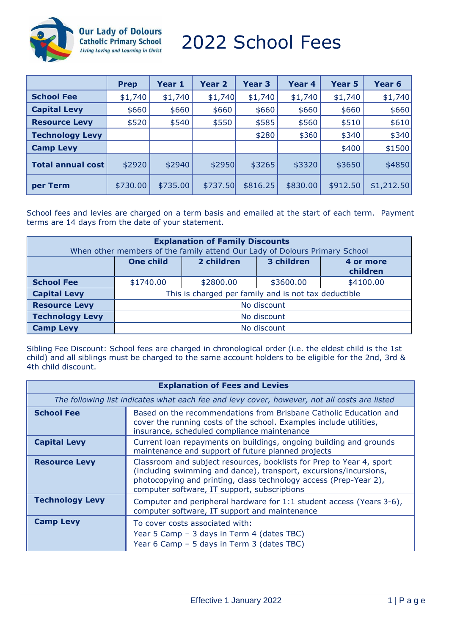

**Our Lady of Dolours<br>Catholic Primary School** Living Loving and Learning in Christ

# 2022 School Fees

|                          | <b>Prep</b> | Year 1   | Year 2   | Year 3   | Year 4   | <b>Year 5</b> | Year <sub>6</sub> |
|--------------------------|-------------|----------|----------|----------|----------|---------------|-------------------|
| <b>School Fee</b>        | \$1,740     | \$1,740  | \$1,740  | \$1,740  | \$1,740  | \$1,740       | \$1,740           |
| <b>Capital Levy</b>      | \$660       | \$660    | \$660    | \$660    | \$660    | \$660         | \$660             |
| <b>Resource Levy</b>     | \$520       | \$540    | \$550    | \$585    | \$560    | \$510         | \$610             |
| <b>Technology Levy</b>   |             |          |          | \$280    | \$360    | \$340         | \$340             |
| <b>Camp Levy</b>         |             |          |          |          |          | \$400         | \$1500            |
| <b>Total annual cost</b> | \$2920      | \$2940   | \$2950   | \$3265   | \$3320   | \$3650        | \$4850            |
| per Term                 | \$730.00    | \$735.00 | \$737.50 | \$816.25 | \$830.00 | \$912.50      | \$1,212.50        |

School fees and levies are charged on a term basis and emailed at the start of each term. Payment terms are 14 days from the date of your statement.

| <b>Explanation of Family Discounts</b><br>When other members of the family attend Our Lady of Dolours Primary School |                                                      |            |            |                       |  |
|----------------------------------------------------------------------------------------------------------------------|------------------------------------------------------|------------|------------|-----------------------|--|
|                                                                                                                      | <b>One child</b>                                     | 2 children | 3 children | 4 or more<br>children |  |
| <b>School Fee</b>                                                                                                    | \$1740.00                                            | \$2800.00  | \$3600.00  | \$4100.00             |  |
| <b>Capital Levy</b>                                                                                                  | This is charged per family and is not tax deductible |            |            |                       |  |
| <b>Resource Levy</b>                                                                                                 | No discount                                          |            |            |                       |  |
| <b>Technology Levy</b>                                                                                               | No discount                                          |            |            |                       |  |
| <b>Camp Levy</b>                                                                                                     | No discount                                          |            |            |                       |  |

Sibling Fee Discount: School fees are charged in chronological order (i.e. the eldest child is the 1st child) and all siblings must be charged to the same account holders to be eligible for the 2nd, 3rd & 4th child discount.

| <b>Explanation of Fees and Levies</b>                                                        |                                                                                                                                                                                                                                                                |  |  |  |
|----------------------------------------------------------------------------------------------|----------------------------------------------------------------------------------------------------------------------------------------------------------------------------------------------------------------------------------------------------------------|--|--|--|
| The following list indicates what each fee and levy cover, however, not all costs are listed |                                                                                                                                                                                                                                                                |  |  |  |
| <b>School Fee</b>                                                                            | Based on the recommendations from Brisbane Catholic Education and<br>cover the running costs of the school. Examples include utilities,<br>insurance, scheduled compliance maintenance                                                                         |  |  |  |
| <b>Capital Levy</b>                                                                          | Current loan repayments on buildings, ongoing building and grounds<br>maintenance and support of future planned projects                                                                                                                                       |  |  |  |
| <b>Resource Levy</b>                                                                         | Classroom and subject resources, booklists for Prep to Year 4, sport<br>(including swimming and dance), transport, excursions/incursions,<br>photocopying and printing, class technology access (Prep-Year 2),<br>computer software, IT support, subscriptions |  |  |  |
| <b>Technology Levy</b>                                                                       | Computer and peripheral hardware for 1:1 student access (Years 3-6),<br>computer software, IT support and maintenance                                                                                                                                          |  |  |  |
| <b>Camp Levy</b>                                                                             | To cover costs associated with:<br>Year 5 Camp - 3 days in Term 4 (dates TBC)<br>Year 6 Camp - 5 days in Term 3 (dates TBC)                                                                                                                                    |  |  |  |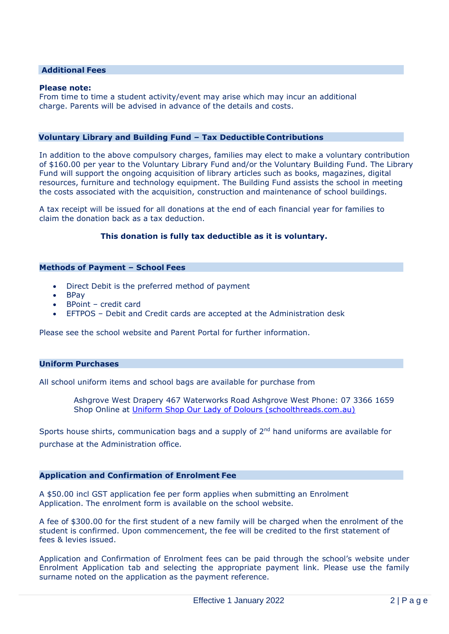# **Additional Fees**

#### **Please note:**

From time to time a student activity/event may arise which may incur an additional charge. Parents will be advised in advance of the details and costs.

# **Voluntary Library and Building Fund – Tax Deductible Contributions**

In addition to the above compulsory charges, families may elect to make a voluntary contribution of \$160.00 per year to the Voluntary Library Fund and/or the Voluntary Building Fund. The Library Fund will support the ongoing acquisition of library articles such as books, magazines, digital resources, furniture and technology equipment. The Building Fund assists the school in meeting the costs associated with the acquisition, construction and maintenance of school buildings.

A tax receipt will be issued for all donations at the end of each financial year for families to claim the donation back as a tax deduction.

#### **This donation is fully tax deductible as it is voluntary.**

#### **Methods of Payment – School Fees**

- Direct Debit is the preferred method of payment
- BPay
- BPoint credit card
- EFTPOS Debit and Credit cards are accepted at the Administration desk

Please see the school website and Parent Portal for further information.

#### **Uniform Purchases**

All school uniform items and school bags are available for purchase from

Ashgrove West Drapery 467 Waterworks Road Ashgrove West Phone: 07 3366 1659 Shop Online at [Uniform Shop Our Lady of Dolours \(schoolthreads.com.au\)](https://www.schoolthreads.com.au/our-lady-of-dolours/)

Sports house shirts, communication bags and a supply of 2<sup>nd</sup> hand uniforms are available for purchase at the Administration office.

# **Application and Confirmation of Enrolment Fee**

A \$50.00 incl GST application fee per form applies when submitting an Enrolment Application. The enrolment form is available on the school website.

A fee of \$300.00 for the first student of a new family will be charged when the enrolment of the student is confirmed. Upon commencement, the fee will be credited to the first statement of fees & levies issued.

Application and Confirmation of Enrolment fees can be paid through the school's website under Enrolment Application tab and selecting the appropriate payment link. Please use the family surname noted on the application as the payment reference.